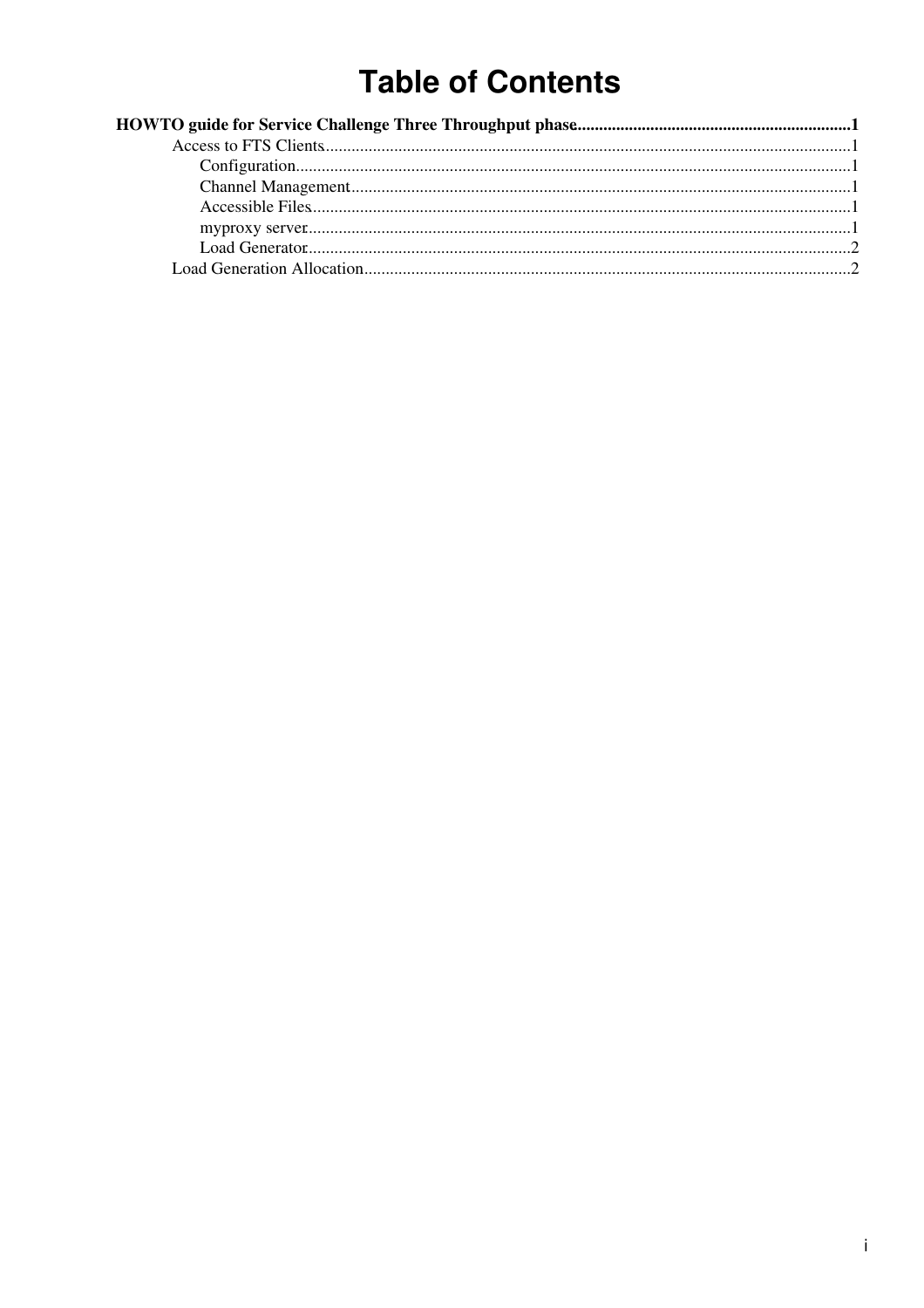# **Table of Contents**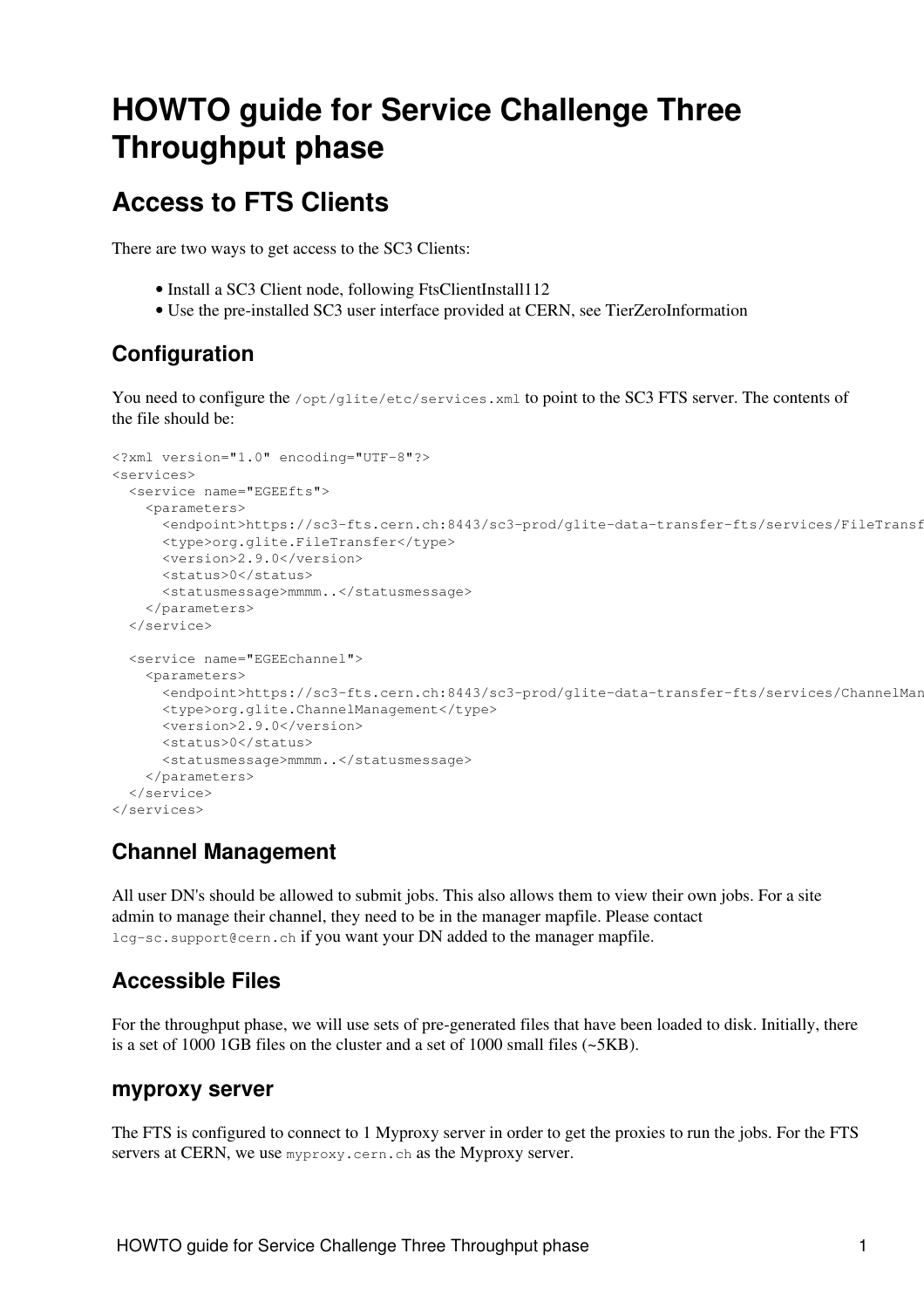# <span id="page-1-0"></span>**HOWTO guide for Service Challenge Three Throughput phase**

### <span id="page-1-1"></span>**Access to FTS Clients**

There are two ways to get access to the SC3 Clients:

- Install a SC3 Client node, following [FtsClientInstall112](https://twiki.cern.ch/twiki/bin/edit/LCG/FtsClientInstall112?topicparent=LCG.ScThreeThroughputHowTo;nowysiwyg=1)
- Use the pre-installed SC3 user interface provided at CERN, see [TierZeroInformation](https://twiki.cern.ch/twiki/bin/view/LCG/TierZeroInformation)

### <span id="page-1-2"></span>**Configuration**

You need to configure the /opt/glite/etc/services.xml to point to the SC3 FTS server. The contents of the file should be:

```
<?xml version="1.0" encoding="UTF-8"?>
<services>
  <service name="EGEEfts">
    <parameters>
       <endpoint>https://sc3-fts.cern.ch:8443/sc3-prod/glite-data-transfer-fts/services/FileTransfer</endpoint>
       <type>org.glite.FileTransfer</type>
       <version>2.9.0</version>
       <status>0</status>
      <statusmessage>mmmm..</statusmessage>
     </parameters>
   </service>
   <service name="EGEEchannel">
     <parameters>
      <endpoint>https://sc3-fts.cern.ch:8443/sc3-prod/glite-data-transfer-fts/services/ChannelMan
       <type>org.glite.ChannelManagement</type>
       <version>2.9.0</version>
       <status>0</status>
      <statusmessage>mmmm..</statusmessage>
     </parameters>
   </service>
</services>
```
#### <span id="page-1-3"></span>**Channel Management**

All user DN's should be allowed to submit jobs. This also allows them to view their own jobs. For a site admin to manage their channel, they need to be in the manager mapfile. Please contact lcg-sc.support@cern.ch if you want your DN added to the manager mapfile.

#### <span id="page-1-4"></span>**Accessible Files**

For the throughput phase, we will use sets of pre-generated files that have been loaded to disk. Initially, there is a set of 1000 1GB files on the cluster and a set of 1000 small files (~5KB).

#### <span id="page-1-5"></span>**myproxy server**

The FTS is configured to connect to 1 Myproxy server in order to get the proxies to run the jobs. For the FTS servers at CERN, we use myproxy.cern.ch as the Myproxy server.